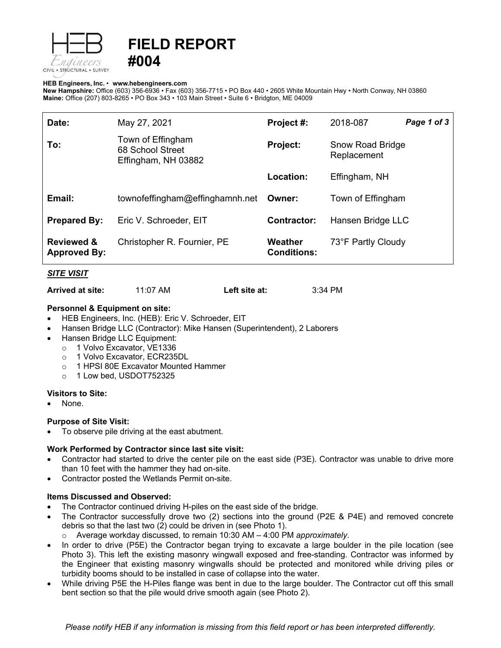



#### **HEB Engineers, Inc.** • **[www.hebengineer](http://www.hebengineers.com/)s.com**

**New Hampshire:** Office (603) 356-6936 • Fax (603) 356-7715 • PO Box 440 • 2605 White Mountain Hwy • North Conway, NH 03860 **Maine:** Office (207) 803-8265 • PO Box 343 • 103 Main Street • Suite 6 • Bridgton, ME 04009

| Date:                                        | May 27, 2021                                                 | Project #:                    | 2018-087                               | Page 1 of 3 |
|----------------------------------------------|--------------------------------------------------------------|-------------------------------|----------------------------------------|-------------|
| To:                                          | Town of Effingham<br>68 School Street<br>Effingham, NH 03882 | <b>Project:</b>               | <b>Snow Road Bridge</b><br>Replacement |             |
|                                              |                                                              | Location:                     | Effingham, NH                          |             |
| Email:                                       | townofeffingham@effinghamnh.net                              | Owner:                        | Town of Effingham                      |             |
| <b>Prepared By:</b>                          | Eric V. Schroeder, EIT                                       | <b>Contractor:</b>            | Hansen Bridge LLC                      |             |
| <b>Reviewed &amp;</b><br><b>Approved By:</b> | Christopher R. Fournier, PE                                  | Weather<br><b>Conditions:</b> | 73°F Partly Cloudy                     |             |

### *SITE VISIT*

**Arrived at site:** 11:07 AM **Left site at:** 3:34 PM

### **Personnel & Equipment on site:**

- HEB Engineers, Inc. (HEB): Eric V. Schroeder, EIT
- Hansen Bridge LLC (Contractor): Mike Hansen (Superintendent), 2 Laborers
- Hansen Bridge LLC Equipment:
	- o 1 Volvo Excavator, VE1336
	- o 1 Volvo Excavator, ECR235DL
	- o 1 HPSI 80E Excavator Mounted Hammer
	- o 1 Low bed, USDOT752325

### **Visitors to Site:**

None.

# **Purpose of Site Visit:**

• To observe pile driving at the east abutment.

# **Work Performed by Contractor since last site visit:**

- Contractor had started to drive the center pile on the east side (P3E). Contractor was unable to drive more than 10 feet with the hammer they had on-site.
- Contractor posted the Wetlands Permit on-site.

### **Items Discussed and Observed:**

- The Contractor continued driving H-piles on the east side of the bridge.
- The Contractor successfully drove two (2) sections into the ground (P2E & P4E) and removed concrete debris so that the last two (2) could be driven in (see Photo 1).
	- o Average workday discussed, to remain 10:30 AM 4:00 PM *approximately*.
- In order to drive (P5E) the Contractor began trying to excavate a large boulder in the pile location (see Photo 3). This left the existing masonry wingwall exposed and free-standing. Contractor was informed by the Engineer that existing masonry wingwalls should be protected and monitored while driving piles or turbidity booms should to be installed in case of collapse into the water.
- While driving P5E the H-Piles flange was bent in due to the large boulder. The Contractor cut off this small bent section so that the pile would drive smooth again (see Photo 2).

*Please notify HEB if any information is missing from this field report or has been interpreted differently.*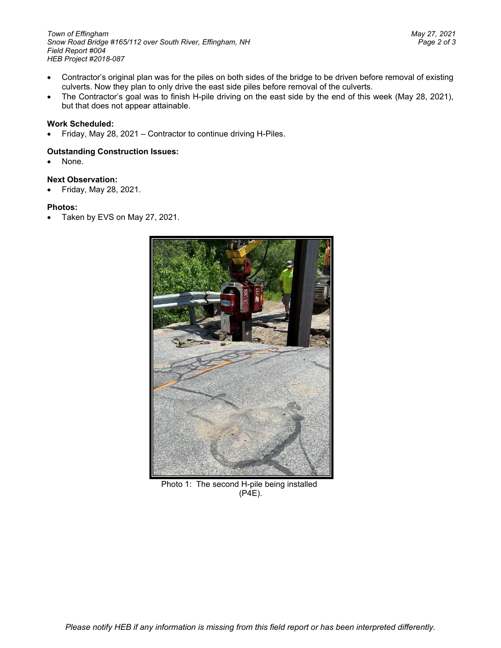- Contractor's original plan was for the piles on both sides of the bridge to be driven before removal of existing culverts. Now they plan to only drive the east side piles before removal of the culverts.
- The Contractor's goal was to finish H-pile driving on the east side by the end of this week (May 28, 2021), but that does not appear attainable.

# **Work Scheduled:**

• Friday, May 28, 2021 – Contractor to continue driving H-Piles.

## **Outstanding Construction Issues:**

• None.

## **Next Observation:**

• Friday, May 28, 2021.

## **Photos:**

• Taken by EVS on May 27, 2021.



Photo 1: The second H-pile being installed (P4E).